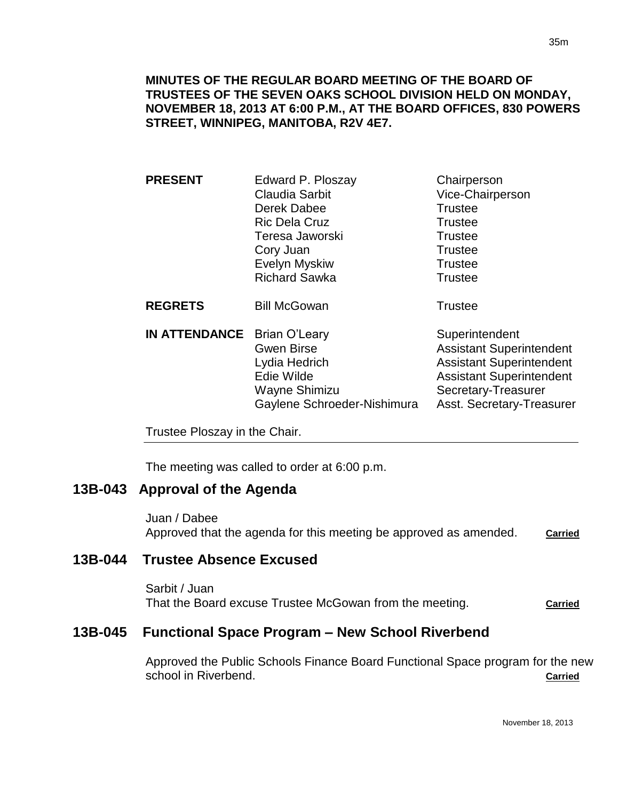**MINUTES OF THE REGULAR BOARD MEETING OF THE BOARD OF TRUSTEES OF THE SEVEN OAKS SCHOOL DIVISION HELD ON MONDAY, NOVEMBER 18, 2013 AT 6:00 P.M., AT THE BOARD OFFICES, 830 POWERS STREET, WINNIPEG, MANITOBA, R2V 4E7.**

| <b>PRESENT</b>       | Edward P. Ploszay                                                                                                        | Chairperson                                                                                                                                                                 |
|----------------------|--------------------------------------------------------------------------------------------------------------------------|-----------------------------------------------------------------------------------------------------------------------------------------------------------------------------|
|                      | Claudia Sarbit                                                                                                           | Vice-Chairperson                                                                                                                                                            |
|                      | Derek Dabee                                                                                                              | <b>Trustee</b>                                                                                                                                                              |
|                      | <b>Ric Dela Cruz</b>                                                                                                     | <b>Trustee</b>                                                                                                                                                              |
|                      | Teresa Jaworski                                                                                                          | <b>Trustee</b>                                                                                                                                                              |
|                      | Cory Juan                                                                                                                | <b>Trustee</b>                                                                                                                                                              |
|                      | Evelyn Myskiw                                                                                                            | <b>Trustee</b>                                                                                                                                                              |
|                      | <b>Richard Sawka</b>                                                                                                     | <b>Trustee</b>                                                                                                                                                              |
| <b>REGRETS</b>       | <b>Bill McGowan</b>                                                                                                      | <b>Trustee</b>                                                                                                                                                              |
| <b>IN ATTENDANCE</b> | <b>Brian O'Leary</b><br><b>Gwen Birse</b><br>Lydia Hedrich<br>Edie Wilde<br>Wayne Shimizu<br>Gaylene Schroeder-Nishimura | Superintendent<br><b>Assistant Superintendent</b><br><b>Assistant Superintendent</b><br><b>Assistant Superintendent</b><br>Secretary-Treasurer<br>Asst. Secretary-Treasurer |
|                      |                                                                                                                          |                                                                                                                                                                             |

Trustee Ploszay in the Chair.

The meeting was called to order at 6:00 p.m.

## **13B-043 Approval of the Agenda**

Juan / Dabee Approved that the agenda for this meeting be approved as amended. **Carried**

## **13B-044 Trustee Absence Excused**

Sarbit / Juan That the Board excuse Trustee McGowan from the meeting. **Carried**

## **13B-045 Functional Space Program – New School Riverbend**

Approved the Public Schools Finance Board Functional Space program for the new school in Riverbend. **Carried**